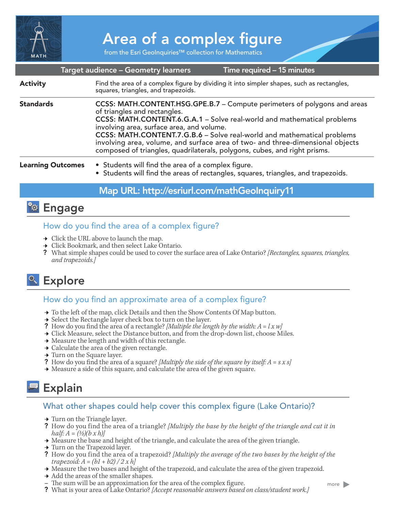

# Area of a complex figure

from the Esri GeoInquiries™ collection for Mathematics

|                          | Target audience – Geometry learners<br>Time required - 15 minutes                                                                                                                                                                                                                                                                                                                                                                                                           |
|--------------------------|-----------------------------------------------------------------------------------------------------------------------------------------------------------------------------------------------------------------------------------------------------------------------------------------------------------------------------------------------------------------------------------------------------------------------------------------------------------------------------|
| <b>Activity</b>          | Find the area of a complex figure by dividing it into simpler shapes, such as rectangles,<br>squares, triangles, and trapezoids.                                                                                                                                                                                                                                                                                                                                            |
| <b>Standards</b>         | CCSS: MATH.CONTENT.HSG.GPE.B.7 - Compute perimeters of polygons and areas<br>of triangles and rectangles.<br>CCSS: MATH.CONTENT.6.G.A.1 - Solve real-world and mathematical problems<br>involving area, surface area, and volume.<br>CCSS: MATH.CONTENT.7.G.B.6 - Solve real-world and mathematical problems<br>involving area, volume, and surface area of two- and three-dimensional objects<br>composed of triangles, quadrilaterals, polygons, cubes, and right prisms. |
| <b>Learning Outcomes</b> | • Students will find the area of a complex figure.<br>• Students will find the areas of rectangles, squares, triangles, and trapezoids.                                                                                                                                                                                                                                                                                                                                     |

### Map URL: http://esriurl.com/mathGeoInquiry11

# **Ro** Engage

### How do you find the area of a complex figure?

- $\rightarrow$  Click the URL above to launch the map.
- **→** Click Bookmark, and then select Lake Ontario.
- ? What simple shapes could be used to cover the surface area of Lake Ontario? *[Rectangles, squares, triangles, and trapezoids.]*

# <sup>o</sup> Explore

### How do you find an approximate area of a complex figure?

- → To the left of the map, click Details and then the Show Contents Of Map button.
- → Select the Rectangle layer check box to turn on the layer.
- ? How do you find the area of a rectangle? *[Multiple the length by the width: A = l x w]*
- → Click Measure, select the Distance button, and from the drop-down list, choose Miles.
- → Measure the length and width of this rectangle.
- → Calculate the area of the given rectangle.
- $\rightarrow$  Turn on the Square layer.
- ? How do you find the area of a square? *[Multiply the side of the square by itself: A = s x s]*  $\rightarrow$  Measure a side of this square, and calculate the area of the given square.
- 

# Explain

### What other shapes could help cover this complex figure (Lake Ontario)?

- $\rightarrow$  Turn on the Triangle layer.
- ? How do you find the area of a triangle? *[Multiply the base by the height of the triangle and cut it in half: A = (½)(b x h)]*
- $\rightarrow$  Measure the base and height of the triangle, and calculate the area of the given triangle.
- **→** Turn on the Trapezoid layer.
- ? How do you find the area of a trapezoid? *[Multiply the average of the two bases by the height of the trapezoid: A = (b1 + b2) / 2 x h]*
- → Measure the two bases and height of the trapezoid, and calculate the area of the given trapezoid.
- **→** Add the areas of the smaller shapes.
- **–** The sum will be an approximation for the area of the complex figure.
- ? What is your area of Lake Ontario? *[Accept reasonable answers based on class/student work.]*